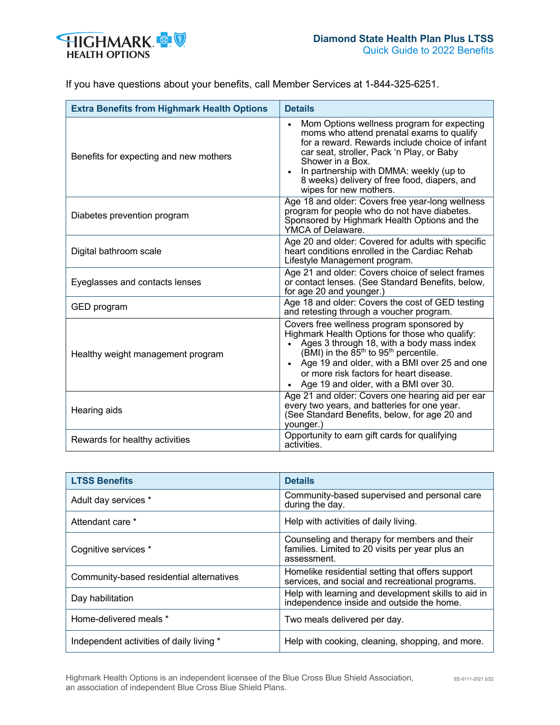

| <b>Extra Benefits from Highmark Health Options</b> | <b>Details</b>                                                                                                                                                                                                                                                                                                                  |
|----------------------------------------------------|---------------------------------------------------------------------------------------------------------------------------------------------------------------------------------------------------------------------------------------------------------------------------------------------------------------------------------|
| Benefits for expecting and new mothers             | Mom Options wellness program for expecting<br>moms who attend prenatal exams to qualify<br>for a reward. Rewards include choice of infant<br>car seat, stroller, Pack 'n Play, or Baby<br>Shower in a Box.<br>In partnership with DMMA: weekly (up to<br>8 weeks) delivery of free food, diapers, and<br>wipes for new mothers. |
| Diabetes prevention program                        | Age 18 and older: Covers free year-long wellness<br>program for people who do not have diabetes.<br>Sponsored by Highmark Health Options and the<br>YMCA of Delaware.                                                                                                                                                           |
| Digital bathroom scale                             | Age 20 and older: Covered for adults with specific<br>heart conditions enrolled in the Cardiac Rehab<br>Lifestyle Management program.                                                                                                                                                                                           |
| Eyeglasses and contacts lenses                     | Age 21 and older: Covers choice of select frames<br>or contact lenses. (See Standard Benefits, below,<br>for age 20 and younger.)                                                                                                                                                                                               |
| GED program                                        | Age 18 and older: Covers the cost of GED testing<br>and retesting through a voucher program.                                                                                                                                                                                                                                    |
| Healthy weight management program                  | Covers free wellness program sponsored by<br>Highmark Health Options for those who qualify:<br>Ages 3 through 18, with a body mass index<br>(BMI) in the $85th$ to $95th$ percentile.<br>• Age 19 and older, with a BMI over 25 and one<br>or more risk factors for heart disease.<br>Age 19 and older, with a BMI over 30.     |
| Hearing aids                                       | Age 21 and older: Covers one hearing aid per ear<br>every two years, and batteries for one year.<br>(See Standard Benefits, below, for age 20 and<br>younger.)                                                                                                                                                                  |
| Rewards for healthy activities                     | Opportunity to earn gift cards for qualifying<br>activities.                                                                                                                                                                                                                                                                    |

| <b>LTSS Benefits</b>                     | <b>Details</b>                                                                                                 |
|------------------------------------------|----------------------------------------------------------------------------------------------------------------|
| Adult day services *                     | Community-based supervised and personal care<br>during the day.                                                |
| Attendant care *                         | Help with activities of daily living.                                                                          |
| Cognitive services *                     | Counseling and therapy for members and their<br>families. Limited to 20 visits per year plus an<br>assessment. |
| Community-based residential alternatives | Homelike residential setting that offers support<br>services, and social and recreational programs.            |
| Day habilitation                         | Help with learning and development skills to aid in<br>independence inside and outside the home.               |
| Home-delivered meals *                   | Two meals delivered per day.                                                                                   |
| Independent activities of daily living * | Help with cooking, cleaning, shopping, and more.                                                               |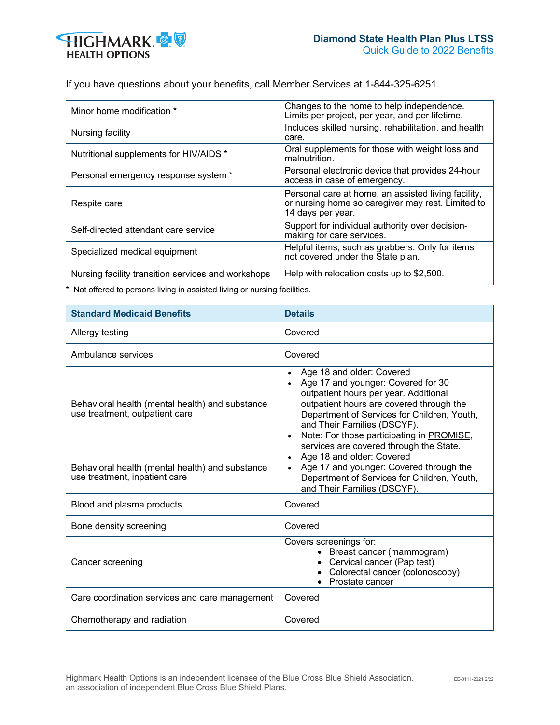

| Minor home modification *                          | Changes to the home to help independence.<br>Limits per project, per year, and per lifetime.                                  |
|----------------------------------------------------|-------------------------------------------------------------------------------------------------------------------------------|
| Nursing facility                                   | Includes skilled nursing, rehabilitation, and health<br>care.                                                                 |
| Nutritional supplements for HIV/AIDS *             | Oral supplements for those with weight loss and<br>malnutrition.                                                              |
| Personal emergency response system *               | Personal electronic device that provides 24-hour<br>access in case of emergency.                                              |
| Respite care                                       | Personal care at home, an assisted living facility,<br>or nursing home so caregiver may rest. Limited to<br>14 days per year. |
| Self-directed attendant care service               | Support for individual authority over decision-<br>making for care services.                                                  |
| Specialized medical equipment                      | Helpful items, such as grabbers. Only for items<br>not covered under the State plan.                                          |
| Nursing facility transition services and workshops | Help with relocation costs up to \$2,500.                                                                                     |

\* Not offered to persons living in assisted living or nursing facilities.

| <b>Standard Medicaid Benefits</b>                                                 | <b>Details</b>                                                                                                                                                                                                                                                                                                             |
|-----------------------------------------------------------------------------------|----------------------------------------------------------------------------------------------------------------------------------------------------------------------------------------------------------------------------------------------------------------------------------------------------------------------------|
| Allergy testing                                                                   | Covered                                                                                                                                                                                                                                                                                                                    |
| Ambulance services                                                                | Covered                                                                                                                                                                                                                                                                                                                    |
| Behavioral health (mental health) and substance<br>use treatment, outpatient care | Age 18 and older: Covered<br>Age 17 and younger: Covered for 30<br>outpatient hours per year. Additional<br>outpatient hours are covered through the<br>Department of Services for Children, Youth,<br>and Their Families (DSCYF).<br>Note: For those participating in PROMISE,<br>services are covered through the State. |
| Behavioral health (mental health) and substance<br>use treatment, inpatient care  | Age 18 and older: Covered<br>Age 17 and younger: Covered through the<br>Department of Services for Children, Youth,<br>and Their Families (DSCYF).                                                                                                                                                                         |
| Blood and plasma products                                                         | Covered                                                                                                                                                                                                                                                                                                                    |
| Bone density screening                                                            | Covered                                                                                                                                                                                                                                                                                                                    |
| Cancer screening                                                                  | Covers screenings for:<br>• Breast cancer (mammogram)<br>Cervical cancer (Pap test)<br>Colorectal cancer (colonoscopy)<br>Prostate cancer                                                                                                                                                                                  |
| Care coordination services and care management                                    | Covered                                                                                                                                                                                                                                                                                                                    |
| Chemotherapy and radiation                                                        | Covered                                                                                                                                                                                                                                                                                                                    |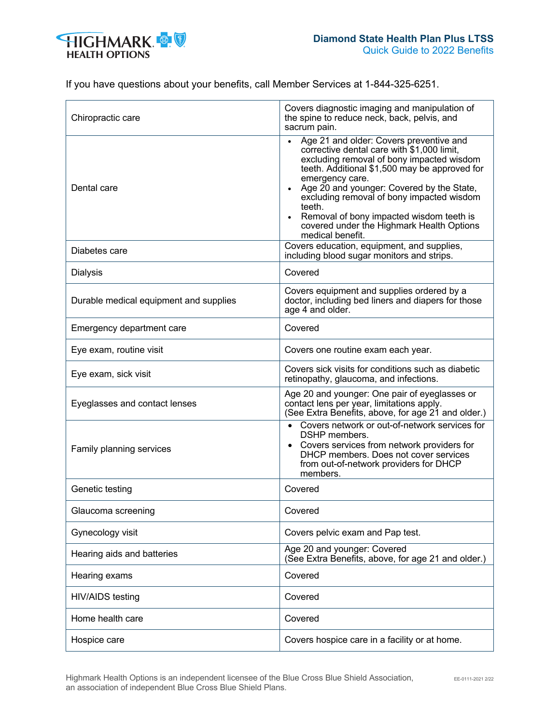

| Chiropractic care                      | Covers diagnostic imaging and manipulation of<br>the spine to reduce neck, back, pelvis, and<br>sacrum pain.                                                                                                                                                                                                                                                                                                            |
|----------------------------------------|-------------------------------------------------------------------------------------------------------------------------------------------------------------------------------------------------------------------------------------------------------------------------------------------------------------------------------------------------------------------------------------------------------------------------|
| Dental care                            | Age 21 and older: Covers preventive and<br>corrective dental care with \$1,000 limit,<br>excluding removal of bony impacted wisdom<br>teeth. Additional \$1,500 may be approved for<br>emergency care.<br>Age 20 and younger: Covered by the State,<br>excluding removal of bony impacted wisdom<br>teeth.<br>Removal of bony impacted wisdom teeth is<br>covered under the Highmark Health Options<br>medical benefit. |
| Diabetes care                          | Covers education, equipment, and supplies,<br>including blood sugar monitors and strips.                                                                                                                                                                                                                                                                                                                                |
| <b>Dialysis</b>                        | Covered                                                                                                                                                                                                                                                                                                                                                                                                                 |
| Durable medical equipment and supplies | Covers equipment and supplies ordered by a<br>doctor, including bed liners and diapers for those<br>age 4 and older.                                                                                                                                                                                                                                                                                                    |
| Emergency department care              | Covered                                                                                                                                                                                                                                                                                                                                                                                                                 |
| Eye exam, routine visit                | Covers one routine exam each year.                                                                                                                                                                                                                                                                                                                                                                                      |
| Eye exam, sick visit                   | Covers sick visits for conditions such as diabetic<br>retinopathy, glaucoma, and infections.                                                                                                                                                                                                                                                                                                                            |
| Eyeglasses and contact lenses          | Age 20 and younger: One pair of eyeglasses or<br>contact lens per year, limitations apply.<br>(See Extra Benefits, above, for age 21 and older.)                                                                                                                                                                                                                                                                        |
| Family planning services               | Covers network or out-of-network services for<br>DSHP members.<br>• Covers services from network providers for<br>DHCP members. Does not cover services<br>from out-of-network providers for DHCP<br>members.                                                                                                                                                                                                           |
| Genetic testing                        | Covered                                                                                                                                                                                                                                                                                                                                                                                                                 |
| Glaucoma screening                     | Covered                                                                                                                                                                                                                                                                                                                                                                                                                 |
| Gynecology visit                       | Covers pelvic exam and Pap test.                                                                                                                                                                                                                                                                                                                                                                                        |
| Hearing aids and batteries             | Age 20 and younger: Covered<br>(See Extra Benefits, above, for age 21 and older.)                                                                                                                                                                                                                                                                                                                                       |
| Hearing exams                          | Covered                                                                                                                                                                                                                                                                                                                                                                                                                 |
| <b>HIV/AIDS</b> testing                | Covered                                                                                                                                                                                                                                                                                                                                                                                                                 |
| Home health care                       | Covered                                                                                                                                                                                                                                                                                                                                                                                                                 |
| Hospice care                           | Covers hospice care in a facility or at home.                                                                                                                                                                                                                                                                                                                                                                           |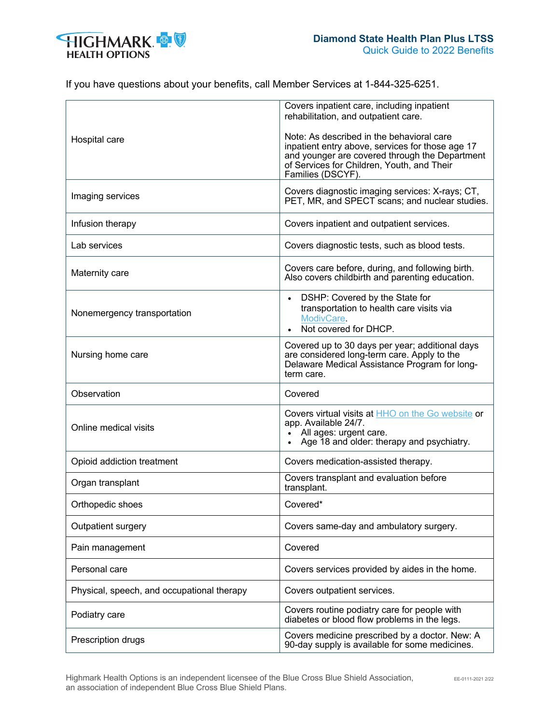

|                                            | Covers inpatient care, including inpatient<br>rehabilitation, and outpatient care.                                                                                                                                 |
|--------------------------------------------|--------------------------------------------------------------------------------------------------------------------------------------------------------------------------------------------------------------------|
| Hospital care                              | Note: As described in the behavioral care<br>inpatient entry above, services for those age 17<br>and younger are covered through the Department<br>of Services for Children, Youth, and Their<br>Families (DSCYF). |
| Imaging services                           | Covers diagnostic imaging services: X-rays; CT,<br>PET, MR, and SPECT scans; and nuclear studies.                                                                                                                  |
| Infusion therapy                           | Covers inpatient and outpatient services.                                                                                                                                                                          |
| Lab services                               | Covers diagnostic tests, such as blood tests.                                                                                                                                                                      |
| Maternity care                             | Covers care before, during, and following birth.<br>Also covers childbirth and parenting education.                                                                                                                |
| Nonemergency transportation                | DSHP: Covered by the State for<br>$\bullet$<br>transportation to health care visits via<br>ModivCare.<br>Not covered for DHCP.                                                                                     |
| Nursing home care                          | Covered up to 30 days per year; additional days<br>are considered long-term care. Apply to the<br>Delaware Medical Assistance Program for long-<br>term care.                                                      |
| Observation                                | Covered                                                                                                                                                                                                            |
| Online medical visits                      | Covers virtual visits at <b>HHO</b> on the Go website or<br>app. Available 24/7.<br>All ages: urgent care.<br>Age 18 and older: therapy and psychiatry.                                                            |
| Opioid addiction treatment                 | Covers medication-assisted therapy.                                                                                                                                                                                |
| Organ transplant                           | Covers transplant and evaluation before<br>transplant.                                                                                                                                                             |
| Orthopedic shoes                           | Covered*                                                                                                                                                                                                           |
| Outpatient surgery                         | Covers same-day and ambulatory surgery.                                                                                                                                                                            |
| Pain management                            | Covered                                                                                                                                                                                                            |
| Personal care                              | Covers services provided by aides in the home.                                                                                                                                                                     |
| Physical, speech, and occupational therapy | Covers outpatient services.                                                                                                                                                                                        |
| Podiatry care                              | Covers routine podiatry care for people with<br>diabetes or blood flow problems in the legs.                                                                                                                       |
| Prescription drugs                         | Covers medicine prescribed by a doctor. New: A<br>90-day supply is available for some medicines.                                                                                                                   |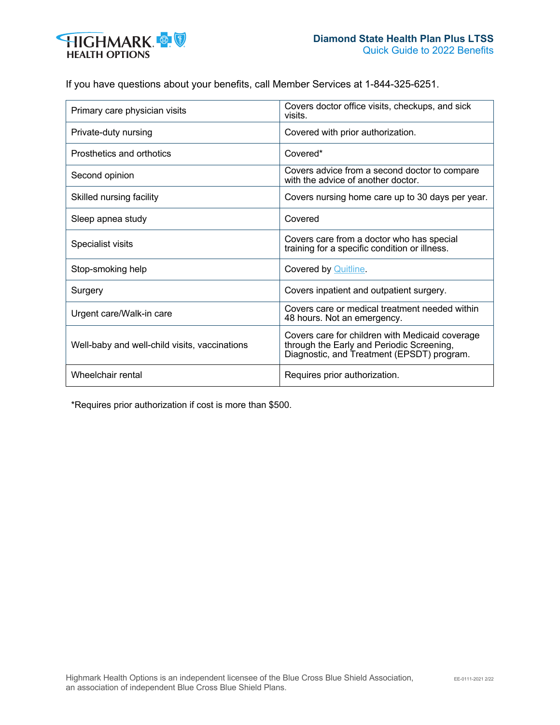

| Primary care physician visits                 | Covers doctor office visits, checkups, and sick<br>visits.                                                                                 |
|-----------------------------------------------|--------------------------------------------------------------------------------------------------------------------------------------------|
| Private-duty nursing                          | Covered with prior authorization.                                                                                                          |
| Prosthetics and orthotics                     | Covered*                                                                                                                                   |
| Second opinion                                | Covers advice from a second doctor to compare<br>with the advice of another doctor.                                                        |
| Skilled nursing facility                      | Covers nursing home care up to 30 days per year.                                                                                           |
| Sleep apnea study                             | Covered                                                                                                                                    |
| Specialist visits                             | Covers care from a doctor who has special<br>training for a specific condition or illness.                                                 |
| Stop-smoking help                             | <b>Covered by Quitline.</b>                                                                                                                |
| Surgery                                       | Covers inpatient and outpatient surgery.                                                                                                   |
| Urgent care/Walk-in care                      | Covers care or medical treatment needed within<br>48 hours. Not an emergency.                                                              |
| Well-baby and well-child visits, vaccinations | Covers care for children with Medicaid coverage<br>through the Early and Periodic Screening,<br>Diagnostic, and Treatment (EPSDT) program. |
| Wheelchair rental                             | Requires prior authorization.                                                                                                              |

\*Requires prior authorization if cost is more than \$500.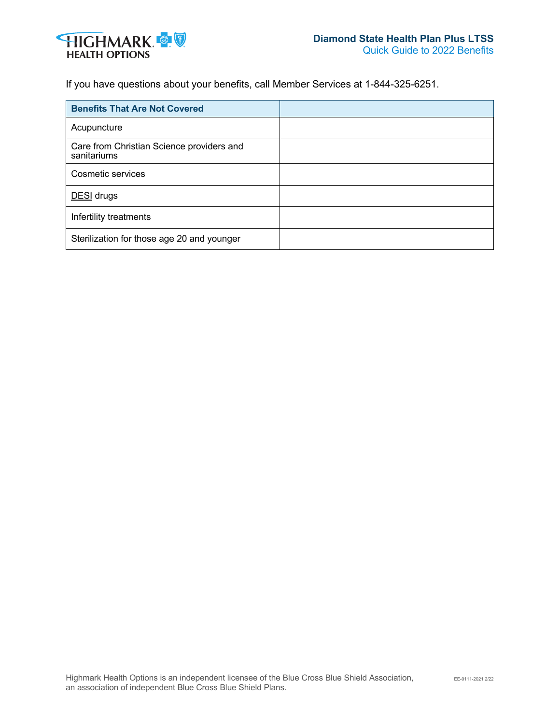

| <b>Benefits That Are Not Covered</b>                     |  |
|----------------------------------------------------------|--|
| Acupuncture                                              |  |
| Care from Christian Science providers and<br>sanitariums |  |
| Cosmetic services                                        |  |
| DESI drugs                                               |  |
| Infertility treatments                                   |  |
| Sterilization for those age 20 and younger               |  |